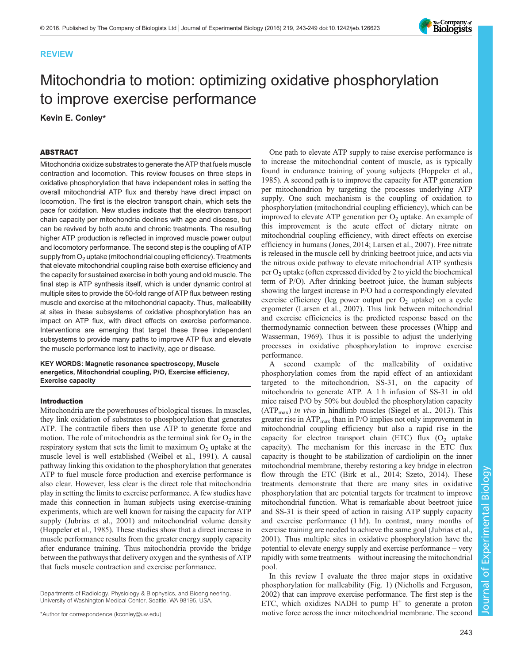# REVIEW

# Mitochondria to motion: optimizing oxidative phosphorylation to improve exercise performance

Kevin E. Conley\*

# ABSTRACT

Mitochondria oxidize substrates to generate the ATP that fuels muscle contraction and locomotion. This review focuses on three steps in oxidative phosphorylation that have independent roles in setting the overall mitochondrial ATP flux and thereby have direct impact on locomotion. The first is the electron transport chain, which sets the pace for oxidation. New studies indicate that the electron transport chain capacity per mitochondria declines with age and disease, but can be revived by both acute and chronic treatments. The resulting higher ATP production is reflected in improved muscle power output and locomotory performance. The second step is the coupling of ATP supply from  $O<sub>2</sub>$  uptake (mitochondrial coupling efficiency). Treatments that elevate mitochondrial coupling raise both exercise efficiency and the capacity for sustained exercise in both young and old muscle. The final step is ATP synthesis itself, which is under dynamic control at multiple sites to provide the 50-fold range of ATP flux between resting muscle and exercise at the mitochondrial capacity. Thus, malleability at sites in these subsystems of oxidative phosphorylation has an impact on ATP flux, with direct effects on exercise performance. Interventions are emerging that target these three independent subsystems to provide many paths to improve ATP flux and elevate the muscle performance lost to inactivity, age or disease.

KEY WORDS: Magnetic resonance spectroscopy, Muscle energetics, Mitochondrial coupling, P/O, Exercise efficiency, Exercise capacity

# Introduction

Mitochondria are the powerhouses of biological tissues. In muscles, they link oxidation of substrates to phosphorylation that generates ATP. The contractile fibers then use ATP to generate force and motion. The role of mitochondria as the terminal sink for  $O_2$  in the respiratory system that sets the limit to maximum  $O_2$  uptake at the muscle level is well established ([Weibel et al., 1991](#page-6-0)). A causal pathway linking this oxidation to the phosphorylation that generates ATP to fuel muscle force production and exercise performance is also clear. However, less clear is the direct role that mitochondria play in setting the limits to exercise performance. A few studies have made this connection in human subjects using exercise-training experiments, which are well known for raising the capacity for ATP supply ([Jubrias et al., 2001\)](#page-5-0) and mitochondrial volume density [\(Hoppeler et al., 1985](#page-5-0)). These studies show that a direct increase in muscle performance results from the greater energy supply capacity after endurance training. Thus mitochondria provide the bridge between the pathways that delivery oxygen and the synthesis of ATP that fuels muscle contraction and exercise performance.

One path to elevate ATP supply to raise exercise performance is to increase the mitochondrial content of muscle, as is typically found in endurance training of young subjects ([Hoppeler et al.,](#page-5-0) [1985\)](#page-5-0). A second path is to improve the capacity for ATP generation per mitochondrion by targeting the processes underlying ATP supply. One such mechanism is the coupling of oxidation to phosphorylation (mitochondrial coupling efficiency), which can be improved to elevate ATP generation per  $O<sub>2</sub>$  uptake. An example of this improvement is the acute effect of dietary nitrate on mitochondrial coupling efficiency, with direct effects on exercise efficiency in humans ([Jones, 2014](#page-5-0); [Larsen et al., 2007](#page-5-0)). Free nitrate is released in the muscle cell by drinking beetroot juice, and acts via the nitrous oxide pathway to elevate mitochondrial ATP synthesis per O2 uptake (often expressed divided by 2 to yield the biochemical term of P/O). After drinking beetroot juice, the human subjects showing the largest increase in P/O had a correspondingly elevated exercise efficiency (leg power output per  $O_2$  uptake) on a cycle ergometer ([Larsen et al., 2007\)](#page-5-0). This link between mitochondrial and exercise efficiencies is the predicted response based on the thermodynamic connection between these processes ([Whipp and](#page-6-0) [Wasserman, 1969](#page-6-0)). Thus it is possible to adjust the underlying processes in oxidative phosphorylation to improve exercise performance.

A second example of the malleability of oxidative phosphorylation comes from the rapid effect of an antioxidant targeted to the mitochondrion, SS-31, on the capacity of mitochondria to generate ATP. A 1 h infusion of SS-31 in old mice raised P/O by 50% but doubled the phosphorylation capacity  $(ATP<sub>max</sub>)$  in vivo in hindlimb muscles ([Siegel et al., 2013](#page-6-0)). This greater rise in  $ATP<sub>max</sub>$  than in P/O implies not only improvement in mitochondrial coupling efficiency but also a rapid rise in the capacity for electron transport chain (ETC) flux  $(O_2)$  uptake capacity). The mechanism for this increase in the ETC flux capacity is thought to be stabilization of cardiolipin on the inner mitochondrial membrane, thereby restoring a key bridge in electron flow through the ETC [\(Birk et al., 2014](#page-5-0); [Szeto, 2014](#page-6-0)). These treatments demonstrate that there are many sites in oxidative phosphorylation that are potential targets for treatment to improve mitochondrial function. What is remarkable about beetroot juice and SS-31 is their speed of action in raising ATP supply capacity and exercise performance (1 h!). In contrast, many months of exercise training are needed to achieve the same goal ([Jubrias et al.,](#page-5-0) [2001\)](#page-5-0). Thus multiple sites in oxidative phosphorylation have the potential to elevate energy supply and exercise performance – very rapidly with some treatments – without increasing the mitochondrial pool.

In this review I evaluate the three major steps in oxidative phosphorylation for malleability ([Fig. 1\)](#page-1-0) [\(Nicholls and Ferguson,](#page-5-0) [2002\)](#page-5-0) that can improve exercise performance. The first step is the ETC, which oxidizes NADH to pump  $H^+$  to generate a proton motive force across the inner mitochondrial membrane. The second



Departments of Radiology, Physiology & Biophysics, and Bioengineering, University of Washington Medical Center, Seattle, WA 98195, USA.

<sup>\*</sup>Author for correspondence [\(kconley@uw.edu](mailto:kconley@uw.edu))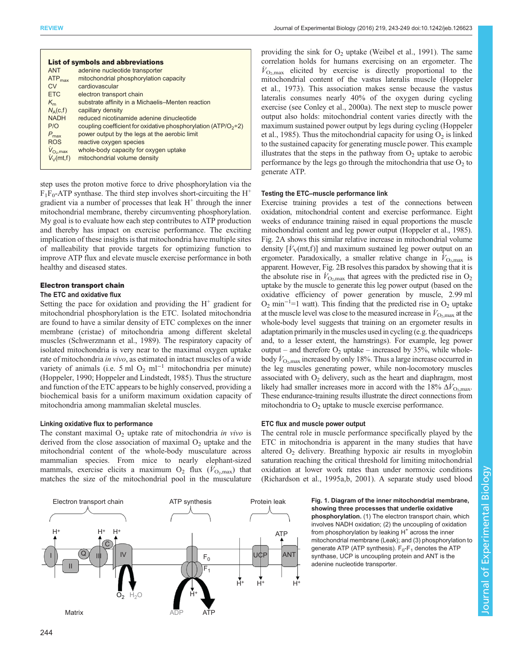<span id="page-1-0"></span>

| <b>List of symbols and abbreviations</b> |                                                                            |  |
|------------------------------------------|----------------------------------------------------------------------------|--|
| <b>ANT</b>                               | adenine nucleotide transporter                                             |  |
| ATP <sub>max</sub>                       | mitochondrial phosphorylation capacity                                     |  |
| CV                                       | cardiovascular                                                             |  |
| <b>FTC</b>                               | electron transport chain                                                   |  |
| $K_{m}$                                  | substrate affinity in a Michaelis–Menten reaction                          |  |
| $N_A(c,f)$                               | capillary density                                                          |  |
| <b>NADH</b>                              | reduced nicotinamide adenine dinucleotide                                  |  |
| P/O                                      | coupling coefficient for oxidative phosphorylation (ATP/O <sub>2</sub> +2) |  |
| $P_{\text{max}}$                         | power output by the legs at the aerobic limit                              |  |
| <b>ROS</b>                               | reactive oxygen species                                                    |  |
| $V_{\text{O}_2,\text{max}}$              | whole-body capacity for oxygen uptake                                      |  |
| $V_{V}$ (mt,f)                           | mitochondrial volume density                                               |  |
|                                          |                                                                            |  |

step uses the proton motive force to drive phosphorylation via the  $F_1F_0$ -ATP synthase. The third step involves short-circuiting the H<sup>+</sup> gradient via a number of processes that leak  $H^+$  through the inner mitochondrial membrane, thereby circumventing phosphorylation. My goal is to evaluate how each step contributes to ATP production and thereby has impact on exercise performance. The exciting implication of these insights is that mitochondria have multiple sites of malleability that provide targets for optimizing function to improve ATP flux and elevate muscle exercise performance in both healthy and diseased states.

# Electron transport chain

## The ETC and oxidative flux

Setting the pace for oxidation and providing the  $H^+$  gradient for mitochondrial phosphorylation is the ETC. Isolated mitochondria are found to have a similar density of ETC complexes on the inner membrane (cristae) of mitochondria among different skeletal muscles [\(Schwerzmann et al., 1989](#page-6-0)). The respiratory capacity of isolated mitochondria is very near to the maximal oxygen uptake rate of mitochondria in vivo, as estimated in intact muscles of a wide variety of animals (i.e. 5 ml O<sub>2</sub> ml<sup>-1</sup> mitochondria per minute) [\(Hoppeler, 1990; Hoppeler and Lindstedt, 1985\)](#page-5-0). Thus the structure and function of the ETC appears to be highly conserved, providing a biochemical basis for a uniform maximum oxidation capacity of mitochondria among mammalian skeletal muscles.

# Linking oxidative flux to performance

The constant maximal  $O_2$  uptake rate of mitochondria in vivo is derived from the close association of maximal  $O<sub>2</sub>$  uptake and the mitochondrial content of the whole-body musculature across mammalian species. From mice to nearly elephant-sized mammals, exercise elicits a maximum  $O_2$  flux  $(\dot{V}_{O_2,\text{max}})$  that matches the size of the mitochondrial pool in the musculature



providing the sink for  $O_2$  uptake [\(Weibel et al., 1991](#page-6-0)). The same correlation holds for humans exercising on an ergometer. The  $\dot{V}_{\text{O}_2,\text{max}}$  elicited by exercise is directly proportional to the mitochondrial content of the vastus lateralis muscle ([Hoppeler](#page-5-0) [et al., 1973\)](#page-5-0). This association makes sense because the vastus lateralis consumes nearly 40% of the oxygen during cycling exercise (see [Conley et al., 2000a](#page-5-0)). The next step to muscle power output also holds: mitochondrial content varies directly with the maximum sustained power output by legs during cycling ([Hoppeler](#page-5-0) [et al., 1985\)](#page-5-0). Thus the mitochondrial capacity for using  $O<sub>2</sub>$  is linked to the sustained capacity for generating muscle power. This example illustrates that the steps in the pathway from  $O_2$  uptake to aerobic performance by the legs go through the mitochondria that use  $O_2$  to generate ATP.

# Testing the ETC–muscle performance link

Exercise training provides a test of the connections between oxidation, mitochondrial content and exercise performance. Eight weeks of endurance training raised in equal proportions the muscle mitochondrial content and leg power output [\(Hoppeler et al., 1985\)](#page-5-0). [Fig. 2A](#page-2-0) shows this similar relative increase in mitochondrial volume density  $[\dot{V}_V(m,t)]$  and maximum sustained leg power output on an ergometer. Paradoxically, a smaller relative change in  $\dot{V}_{\text{O}_2,\text{max}}$  is apparent. However, [Fig. 2B](#page-2-0) resolves this paradox by showing that it is the absolute rise in  $V_{\text{O}_2,\text{max}}$  that agrees with the predicted rise in  $\text{O}_2$ uptake by the muscle to generate this leg power output (based on the oxidative efficiency of power generation by muscle, 2.99 ml  $O_2$  min<sup>-1</sup>=1 watt). This finding that the predicted rise in  $O_2$  uptake at the muscle level was close to the measured increase in  $\dot{V}_{\text{O}_2,\text{max}}$  at the whole-body level suggests that training on an ergometer results in adaptation primarily in the muscles used in cycling (e.g. the quadriceps and, to a lesser extent, the hamstrings). For example, leg power output – and therefore  $O_2$  uptake – increased by 35%, while wholebody  $\dot{V}_{\text{O}_2,\text{max}}$  increased by only 18%. Thus a large increase occurred in the leg muscles generating power, while non-locomotory muscles associated with  $O<sub>2</sub>$  delivery, such as the heart and diaphragm, most likely had smaller increases more in accord with the 18%  $\Delta V_{\text{O}_2,\text{max}}$ . These endurance-training results illustrate the direct connections from mitochondria to  $O_2$  uptake to muscle exercise performance.

# ETC flux and muscle power output

The central role in muscle performance specifically played by the ETC in mitochondria is apparent in the many studies that have altered O<sub>2</sub> delivery. Breathing hypoxic air results in myoglobin saturation reaching the critical threshold for limiting mitochondrial oxidation at lower work rates than under normoxic conditions [\(Richardson et al., 1995a,b, 2001](#page-6-0)). A separate study used blood

> Fig. 1. Diagram of the inner mitochondrial membrane, showing three processes that underlie oxidative phosphorylation. (1) The electron transport chain, which involves NADH oxidation; (2) the uncoupling of oxidation from phosphorylation by leaking  $H^+$  across the inner mitochondrial membrane (Leak); and (3) phosphorylation to generate ATP (ATP synthesis).  $F_0-F_1$  denotes the ATP synthase, UCP is uncoupling protein and ANT is the adenine nucleotide transporter.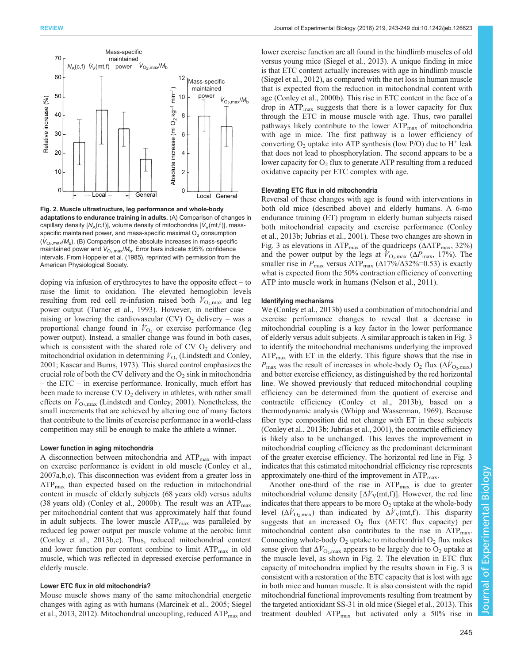<span id="page-2-0"></span>

Fig. 2. Muscle ultrastructure, leg performance and whole-body adaptations to endurance training in adults. (A) Comparison of changes in capillary density [ $N_A$ (c,f)], volume density of mitochondria [ $\dot{V}_V$ (mt,f)], massspecific maintained power, and mass-specific maximal  $O<sub>2</sub>$  consumption  $(\dot{\mathsf{V}}_{\mathrm{O}_2,\mathrm{max}}\mathsf{/}M_{\mathrm{b}})$ . (B) Comparison of the absolute increases in mass-specific maintained power and  $\dot{\mathsf{V}}_{\mathsf{O}_2,\mathsf{max}}\prime\mathsf{M}_{\mathsf{b}}$ . Error bars indicate ±95% confidence intervals. From [Hoppeler et al. \(1985](#page-5-0)), reprinted with permission from the American Physiological Society.

doping via infusion of erythrocytes to have the opposite effect – to raise the limit to oxidation. The elevated hemoglobin levels resulting from red cell re-infusion raised both  $\dot{V}_{\text{O}_2,\text{max}}$  and leg power output [\(Turner et al., 1993\)](#page-6-0). However, in neither case – raising or lowering the cardiovascular (CV)  $O_2$  delivery – was a proportional change found in  $\dot{V}_{\text{O}_2}$  or exercise performance (leg power output). Instead, a smaller change was found in both cases, which is consistent with the shared role of CV  $O_2$  delivery and mitochondrial oxidation in determining  $\dot{V}_{\text{O}_2}$  [\(Lindstedt and Conley,](#page-5-0) [2001](#page-5-0); [Kascar and Burns, 1973\)](#page-5-0). This shared control emphasizes the crucial role of both the CV delivery and the  $O_2$  sink in mitochondria – the ETC – in exercise performance. Ironically, much effort has been made to increase  $CVO<sub>2</sub>$  delivery in athletes, with rather small effects on  $\dot{V}_{\text{O}_2,\text{max}}$  ([Lindstedt and Conley, 2001](#page-5-0)). Nonetheless, the small increments that are achieved by altering one of many factors that contribute to the limits of exercise performance in a world-class competition may still be enough to make the athlete a winner.

#### Lower function in aging mitochondria

A disconnection between mitochondria and  $ATP<sub>max</sub>$  with impact on exercise performance is evident in old muscle ([Conley et al.,](#page-5-0) [2007a](#page-5-0),[b](#page-5-0),[c\)](#page-5-0). This disconnection was evident from a greater loss in  $ATP<sub>max</sub>$  than expected based on the reduction in mitochondrial content in muscle of elderly subjects (68 years old) versus adults (38 years old) [\(Conley et al., 2000b\)](#page-5-0). The result was an  $ATP<sub>max</sub>$ per mitochondrial content that was approximately half that found in adult subjects. The lower muscle  $ATP<sub>max</sub>$  was paralleled by reduced leg power output per muscle volume at the aerobic limit [\(Conley et al., 2013b,c](#page-5-0)). Thus, reduced mitochondrial content and lower function per content combine to limit  $ATP<sub>max</sub>$  in old muscle, which was reflected in depressed exercise performance in elderly muscle.

# Lower ETC flux in old mitochondria?

Mouse muscle shows many of the same mitochondrial energetic changes with aging as with humans ([Marcinek et al., 2005](#page-5-0); [Siegel](#page-6-0) [et al., 2013](#page-6-0), [2012\)](#page-6-0). Mitochondrial uncoupling, reduced  $ATP<sub>max</sub>$  and

lower exercise function are all found in the hindlimb muscles of old versus young mice [\(Siegel et al., 2013\)](#page-6-0). A unique finding in mice is that ETC content actually increases with age in hindlimb muscle [\(Siegel et al., 2012\)](#page-6-0), as compared with the net loss in human muscle that is expected from the reduction in mitochondrial content with age [\(Conley et al., 2000b](#page-5-0)). This rise in ETC content in the face of a drop in  $ATP<sub>max</sub>$  suggests that there is a lower capacity for flux through the ETC in mouse muscle with age. Thus, two parallel pathways likely contribute to the lower  $ATP<sub>max</sub>$  of mitochondria with age in mice. The first pathway is a lower efficiency of converting  $O_2$  uptake into ATP synthesis (low P/O) due to  $H^+$  leak that does not lead to phosphorylation. The second appears to be a lower capacity for  $O_2$  flux to generate ATP resulting from a reduced oxidative capacity per ETC complex with age.

#### Elevating ETC flux in old mitochondria

Reversal of these changes with age is found with interventions in both old mice (described above) and elderly humans. A 6-mo endurance training (ET) program in elderly human subjects raised both mitochondrial capacity and exercise performance [\(Conley](#page-5-0) [et al., 2013b; Jubrias et al., 2001](#page-5-0)). These two changes are shown in [Fig. 3](#page-3-0) as elevations in  $ATP_{max}$  of the quadriceps ( $\Delta ATP_{max}$ , 32%) and the power output by the legs at  $\hat{V}_{\text{O}_2,\text{max}}$  ( $\Delta P_{\text{max}}$ , 17%). The smaller rise in  $P_{\text{max}}$  versus ATP<sub>max</sub> ( $\Delta 17\%$ / $\Delta 32\%$ =0.53) is exactly what is expected from the 50% contraction efficiency of converting ATP into muscle work in humans ([Nelson et al., 2011\)](#page-5-0).

#### Identifying mechanisms

We ([Conley et al., 2013b](#page-5-0)) used a combination of mitochondrial and exercise performance changes to reveal that a decrease in mitochondrial coupling is a key factor in the lower performance of elderly versus adult subjects. A similar approach is taken in [Fig. 3](#page-3-0) to identify the mitochondrial mechanisms underlying the improved ATPmax with ET in the elderly. This figure shows that the rise in  $P_{\text{max}}$  was the result of increases in whole-body O<sub>2</sub> flux ( $\Delta V_{\text{O}_2,\text{max}}$ ) and better exercise efficiency, as distinguished by the red horizontal line. We showed previously that reduced mitochondrial coupling efficiency can be determined from the quotient of exercise and contractile efficiency [\(Conley et al., 2013b\)](#page-5-0), based on a thermodynamic analysis ([Whipp and Wasserman, 1969](#page-6-0)). Because fiber type composition did not change with ET in these subjects [\(Conley et al., 2013b; Jubrias et al., 2001](#page-5-0)), the contractile efficiency is likely also to be unchanged. This leaves the improvement in mitochondrial coupling efficiency as the predominant determinant of the greater exercise efficiency. The horizontal red line in Fig. 3 indicates that this estimated mitochondrial efficiency rise represents approximately one-third of the improvement in  $ATP<sub>max</sub>$ .

Another one-third of the rise in  $ATP<sub>max</sub>$  is due to greater mitochondrial volume density  $[\Delta V_V(mt,f)]$ . However, the red line indicates that there appears to be more  $O<sub>2</sub>$  uptake at the whole-body level ( $\Delta V_{\text{O}_2,\text{max}}$ ) than indicated by  $\Delta V_{\text{V}}(\text{mt},f)$ . This disparity suggests that an increased  $O_2$  flux ( $\triangle ETC$  flux capacity) per mitochondrial content also contributes to the rise in  $ATP<sub>max</sub>$ . Connecting whole-body  $O_2$  uptake to mitochondrial  $O_2$  flux makes sense given that  $\Delta V_{\text{O}_2,\text{max}}$  appears to be largely due to  $\text{O}_2$  uptake at the muscle level, as shown in Fig. 2. The elevation in ETC flux capacity of mitochondria implied by the results shown in [Fig. 3](#page-3-0) is consistent with a restoration of the ETC capacity that is lost with age in both mice and human muscle. It is also consistent with the rapid mitochondrial functional improvements resulting from treatment by the targeted antioxidant SS-31 in old mice [\(Siegel et al., 2013\)](#page-6-0). This treatment doubled  $ATP<sub>max</sub>$  but activated only a 50% rise in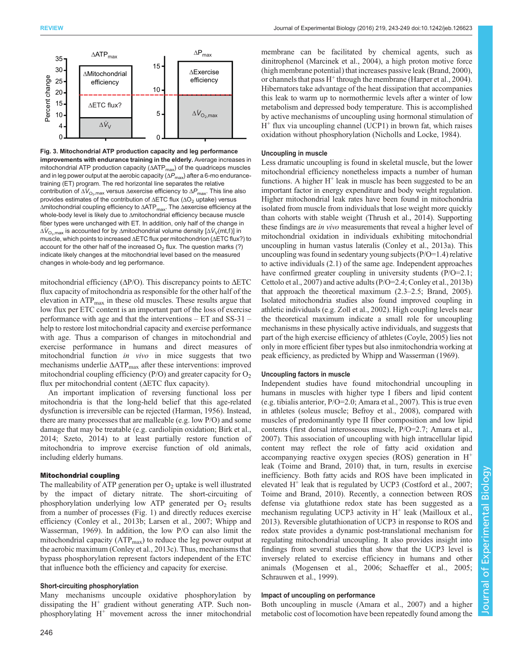<span id="page-3-0"></span>

Fig. 3. Mitochondrial ATP production capacity and leg performance improvements with endurance training in the elderly. Average increases in mitochondrial ATP production capacity ( $\triangle$ ATP<sub>max</sub>) of the quadriceps muscles and in leg power output at the aerobic capacity ( $\Delta P_{\text{max}}$ ) after a 6-mo endurancetraining (ET) program. The red horizontal line separates the relative contribution of  $\Delta \dot{\mathsf{V}}_{\mathrm{O}_2,\mathrm{max}}$  versus ∆exercise efficiency to  $\Delta \mathsf{P}_{\mathrm{max}}.$  This line also provides estimates of the contribution of  $ΔETC$  flux  $(ΔO<sub>2</sub> uptake)$  versus Δmitochondrial coupling efficiency to ΔATP<sub>max</sub>. The Δexercise efficiency at the whole-body level is likely due to Δmitochondrial efficiency because muscle fiber types were unchanged with ET. In addition, only half of the change in  $\Delta\dot{\mathsf{V}}_\mathrm{O_2,max}$  is accounted for by ∆mitochondrial volume density [ $\Delta\dot{\mathsf{V}}_\mathsf{V}(\mathsf{mt},\mathsf{f})$ ] in muscle, which points to increased ΔETC flux per mitochondrion (ΔETC flux?) to account for the other half of the increased  $O<sub>2</sub>$  flux. The question marks (?) indicate likely changes at the mitochondrial level based on the measured changes in whole-body and leg performance.

mitochondrial efficiency ( $\Delta P/O$ ). This discrepancy points to  $\Delta ETC$ flux capacity of mitochondria as responsible for the other half of the elevation in  $ATP<sub>max</sub>$  in these old muscles. These results argue that low flux per ETC content is an important part of the loss of exercise performance with age and that the interventions – ET and SS-31 – help to restore lost mitochondrial capacity and exercise performance with age. Thus a comparison of changes in mitochondrial and exercise performance in humans and direct measures of mitochondrial function in vivo in mice suggests that two mechanisms underlie  $\Delta ATP_{\text{max}}$  after these interventions: improved mitochondrial coupling efficiency ( $P/O$ ) and greater capacity for  $O<sub>2</sub>$ flux per mitochondrial content (ΔETC flux capacity).

An important implication of reversing functional loss per mitochondria is that the long-held belief that this age-related dysfunction is irreversible can be rejected ([Harman, 1956\)](#page-5-0). Instead, there are many processes that are malleable (e.g. low P/O) and some damage that may be treatable (e.g. cardiolipin oxidation; [Birk et al.,](#page-5-0) [2014](#page-5-0); [Szeto, 2014\)](#page-6-0) to at least partially restore function of mitochondria to improve exercise function of old animals, including elderly humans.

#### Mitochondrial coupling

The malleability of ATP generation per  $O_2$  uptake is well illustrated by the impact of dietary nitrate. The short-circuiting of phosphorylation underlying low ATP generated per  $O_2$  results from a number of processes ([Fig. 1\)](#page-1-0) and directly reduces exercise efficiency [\(Conley et al., 2013b](#page-5-0); [Larsen et al., 2007;](#page-5-0) [Whipp and](#page-6-0) [Wasserman, 1969](#page-6-0)). In addition, the low P/O can also limit the mitochondrial capacity  $(ATP<sub>max</sub>)$  to reduce the leg power output at the aerobic maximum ([Conley et al., 2013c](#page-5-0)). Thus, mechanisms that bypass phosphorylation represent factors independent of the ETC that influence both the efficiency and capacity for exercise.

#### Short-circuiting phosphorylation

Many mechanisms uncouple oxidative phosphorylation by dissipating the  $H^+$  gradient without generating ATP. Such nonphosphorylating  $H^+$  movement across the inner mitochondrial membrane can be facilitated by chemical agents, such as dinitrophenol ([Marcinek et al., 2004\)](#page-5-0), a high proton motive force (high membrane potential) that increases passive leak ([Brand, 2000\)](#page-5-0), or channels that pass  $H^+$  through the membrane [\(Harper et al., 2004\)](#page-5-0). Hibernators take advantage of the heat dissipation that accompanies this leak to warm up to normothermic levels after a winter of low metabolism and depressed body temperature. This is accomplished by active mechanisms of uncoupling using hormonal stimulation of  $H^+$  flux via uncoupling channel (UCP1) in brown fat, which raises oxidation without phosphorylation ([Nicholls and Locke, 1984](#page-5-0)).

## Uncoupling in muscle

Less dramatic uncoupling is found in skeletal muscle, but the lower mitochondrial efficiency nonetheless impacts a number of human functions. A higher  $H^+$  leak in muscle has been suggested to be an important factor in energy expenditure and body weight regulation. Higher mitochondrial leak rates have been found in mitochondria isolated from muscle from individuals that lose weight more quickly than cohorts with stable weight ([Thrush et al., 2014\)](#page-6-0). Supporting these findings are *in vivo* measurements that reveal a higher level of mitochondrial oxidation in individuals exhibiting mitochondrial uncoupling in human vastus lateralis [\(Conley et al., 2013a](#page-5-0)). This uncoupling was found in sedentary young subjects (P/O=1.4) relative to active individuals (2.1) of the same age. Independent approaches have confirmed greater coupling in university students (P/O=2.1; [Cettolo et al., 2007](#page-5-0)) and active adults (P/O=2.4; [Conley et al., 2013b](#page-5-0)) that approach the theoretical maximum (2.3–2.5; [Brand, 2005\)](#page-5-0). Isolated mitochondria studies also found improved coupling in athletic individuals (e.g. [Zoll et al., 2002\)](#page-6-0). High coupling levels near the theoretical maximum indicate a small role for uncoupling mechanisms in these physically active individuals, and suggests that part of the high exercise efficiency of athletes [\(Coyle, 2005\)](#page-5-0) lies not only in more efficient fiber types but also inmitochondria working at peak efficiency, as predicted by [Whipp and Wasserman \(1969\)](#page-6-0).

# Uncoupling factors in muscle

Independent studies have found mitochondrial uncoupling in humans in muscles with higher type I fibers and lipid content (e.g. tibialis anterior, P/O=2.0; [Amara et al., 2007](#page-5-0)). This is true even in athletes (soleus muscle; [Befroy et al., 2008](#page-5-0)), compared with muscles of predominantly type II fiber composition and low lipid contents (first dorsal interosseous muscle, P/O=2.7; [Amara et al.,](#page-5-0) [2007\)](#page-5-0). This association of uncoupling with high intracellular lipid content may reflect the role of fatty acid oxidation and accompanying reactive oxygen species (ROS) generation in  $H^+$ leak [\(Toime and Brand, 2010\)](#page-6-0) that, in turn, results in exercise inefficiency. Both fatty acids and ROS have been implicated in elevated  $H^+$  leak that is regulated by UCP3 ([Costford et al., 2007](#page-5-0); [Toime and Brand, 2010](#page-6-0)). Recently, a connection between ROS defense via glutathione redox state has been suggested as a mechanism regulating UCP3 activity in  $H^+$  leak [\(Mailloux et al.,](#page-5-0) [2013\)](#page-5-0). Reversible glutathionation of UCP3 in response to ROS and redox state provides a dynamic post-translational mechanism for regulating mitochondrial uncoupling. It also provides insight into findings from several studies that show that the UCP3 level is inversely related to exercise efficiency in humans and other animals [\(Mogensen et al., 2006](#page-5-0); [Schaeffer et al., 2005](#page-6-0); [Schrauwen et al., 1999\)](#page-6-0).

# Impact of uncoupling on performance

Both uncoupling in muscle ([Amara et al., 2007](#page-5-0)) and a higher metabolic cost of locomotion have been repeatedly found among the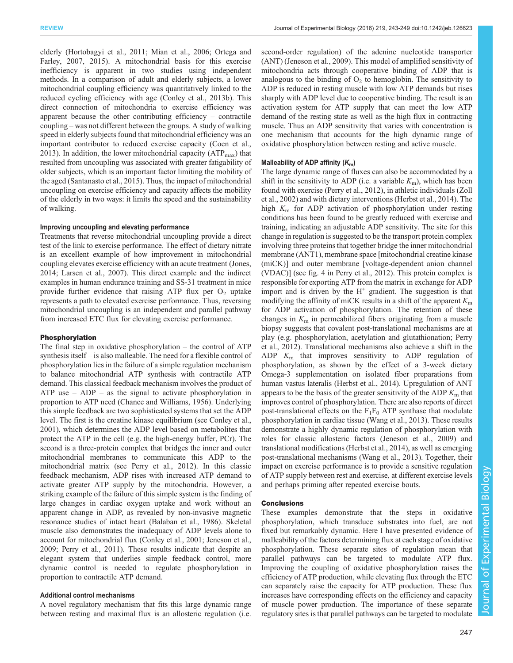elderly [\(Hortobagyi et al., 2011; Mian et al., 2006; Ortega and](#page-5-0) [Farley, 2007, 2015\)](#page-5-0). A mitochondrial basis for this exercise inefficiency is apparent in two studies using independent methods. In a comparison of adult and elderly subjects, a lower mitochondrial coupling efficiency was quantitatively linked to the reduced cycling efficiency with age [\(Conley et al., 2013b](#page-5-0)). This direct connection of mitochondria to exercise efficiency was apparent because the other contributing efficiency – contractile coupling – was not different between the groups. A study of walking speed in elderly subjects found that mitochondrial efficiency was an important contributor to reduced exercise capacity [\(Coen et al.,](#page-5-0) [2013](#page-5-0)). In addition, the lower mitochondrial capacity  $(ATP<sub>max</sub>)$  that resulted from uncoupling was associated with greater fatigability of older subjects, which is an important factor limiting the mobility of the aged ([Santanasto et al., 2015\)](#page-6-0). Thus, the impact of mitochondrial uncoupling on exercise efficiency and capacity affects the mobility of the elderly in two ways: it limits the speed and the sustainability of walking.

## Improving uncoupling and elevating performance

Treatments that reverse mitochondrial uncoupling provide a direct test of the link to exercise performance. The effect of dietary nitrate is an excellent example of how improvement in mitochondrial coupling elevates exercise efficiency with an acute treatment ([Jones,](#page-5-0) [2014](#page-5-0); [Larsen et al., 2007\)](#page-5-0). This direct example and the indirect examples in human endurance training and SS-31 treatment in mice provide further evidence that raising ATP flux per  $O_2$  uptake represents a path to elevated exercise performance. Thus, reversing mitochondrial uncoupling is an independent and parallel pathway from increased ETC flux for elevating exercise performance.

#### Phosphorylation

The final step in oxidative phosphorylation – the control of ATP synthesis itself – is also malleable. The need for a flexible control of phosphorylation lies in the failure of a simple regulation mechanism to balance mitochondrial ATP synthesis with contractile ATP demand. This classical feedback mechanism involves the product of ATP use  $-$  ADP  $-$  as the signal to activate phosphorylation in proportion to ATP need ([Chance and Williams, 1956\)](#page-5-0). Underlying this simple feedback are two sophisticated systems that set the ADP level. The first is the creatine kinase equilibrium (see [Conley et al.,](#page-5-0) [2001](#page-5-0)), which determines the ADP level based on metabolites that protect the ATP in the cell (e.g. the high-energy buffer, PCr). The second is a three-protein complex that bridges the inner and outer mitochondrial membranes to communicate this ADP to the mitochondrial matrix (see [Perry et al., 2012](#page-5-0)). In this classic feedback mechanism, ADP rises with increased ATP demand to activate greater ATP supply by the mitochondria. However, a striking example of the failure of this simple system is the finding of large changes in cardiac oxygen uptake and work without an apparent change in ADP, as revealed by non-invasive magnetic resonance studies of intact heart [\(Balaban et al., 1986\)](#page-5-0). Skeletal muscle also demonstrates the inadequacy of ADP levels alone to account for mitochondrial flux ([Conley et al., 2001](#page-5-0); [Jeneson et al.,](#page-5-0) [2009](#page-5-0); [Perry et al., 2011\)](#page-5-0). These results indicate that despite an elegant system that underlies simple feedback control, more dynamic control is needed to regulate phosphorylation in proportion to contractile ATP demand.

#### Additional control mechanisms

A novel regulatory mechanism that fits this large dynamic range between resting and maximal flux is an allosteric regulation (i.e. second-order regulation) of the adenine nucleotide transporter (ANT) ([Jeneson et al., 2009\)](#page-5-0). This model of amplified sensitivity of mitochondria acts through cooperative binding of ADP that is analogous to the binding of  $O<sub>2</sub>$  to hemoglobin. The sensitivity to ADP is reduced in resting muscle with low ATP demands but rises sharply with ADP level due to cooperative binding. The result is an activation system for ATP supply that can meet the low ATP demand of the resting state as well as the high flux in contracting muscle. Thus an ADP sensitivity that varies with concentration is one mechanism that accounts for the high dynamic range of oxidative phosphorylation between resting and active muscle.

#### Malleability of ADP affinity  $(K_m)$

The large dynamic range of fluxes can also be accommodated by a shift in the sensitivity to ADP (i.e. a variable  $K<sub>m</sub>$ ), which has been found with exercise ([Perry et al., 2012\)](#page-5-0), in athletic individuals [\(Zoll](#page-6-0) [et al., 2002](#page-6-0)) and with dietary interventions [\(Herbst et al., 2014\)](#page-5-0). The high  $K<sub>m</sub>$  for ADP activation of phosphorylation under resting conditions has been found to be greatly reduced with exercise and training, indicating an adjustable ADP sensitivity. The site for this change in regulation is suggested to be the transport protein complex involving three proteins that together bridge the inner mitochondrial membrane (ANT1), membrane space [mitochondrial creatine kinase (miCK)] and outer membrane [voltage-dependent anion channel (VDAC)] (see fig. 4 in [Perry et al., 2012](#page-5-0)). This protein complex is responsible for exporting ATP from the matrix in exchange for ADP import and is driven by the  $H^+$  gradient. The suggestion is that modifying the affinity of miCK results in a shift of the apparent  $K<sub>m</sub>$ for ADP activation of phosphorylation. The retention of these changes in  $K<sub>m</sub>$  in permeabilized fibers originating from a muscle biopsy suggests that covalent post-translational mechanisms are at play (e.g. phosphorylation, acetylation and glutathionation; [Perry](#page-5-0) [et al., 2012](#page-5-0)). Translational mechanisms also achieve a shift in the ADP  $K<sub>m</sub>$  that improves sensitivity to ADP regulation of phosphorylation, as shown by the effect of a 3-week dietary Omega-3 supplementation on isolated fiber preparations from human vastus lateralis [\(Herbst et al., 2014](#page-5-0)). Upregulation of ANT appears to be the basis of the greater sensitivity of the ADP  $K<sub>m</sub>$  that improves control of phosphorylation. There are also reports of direct post-translational effects on the  $F_1F_0$  ATP synthase that modulate phosphorylation in cardiac tissue ([Wang et al., 2013](#page-6-0)). These results demonstrate a highly dynamic regulation of phosphorylation with roles for classic allosteric factors [\(Jeneson et al., 2009](#page-5-0)) and translational modifications [\(Herbst et al., 2014\)](#page-5-0), as well as emerging post-translational mechanisms ([Wang et al., 2013\)](#page-6-0). Together, their impact on exercise performance is to provide a sensitive regulation of ATP supply between rest and exercise, at different exercise levels and perhaps priming after repeated exercise bouts.

#### **Conclusions**

These examples demonstrate that the steps in oxidative phosphorylation, which transduce substrates into fuel, are not fixed but remarkably dynamic. Here I have presented evidence of malleability of the factors determining flux at each stage of oxidative phosphorylation. These separate sites of regulation mean that parallel pathways can be targeted to modulate ATP flux. Improving the coupling of oxidative phosphorylation raises the efficiency of ATP production, while elevating flux through the ETC can separately raise the capacity for ATP production. These flux increases have corresponding effects on the efficiency and capacity of muscle power production. The importance of these separate regulatory sites is that parallel pathways can be targeted to modulate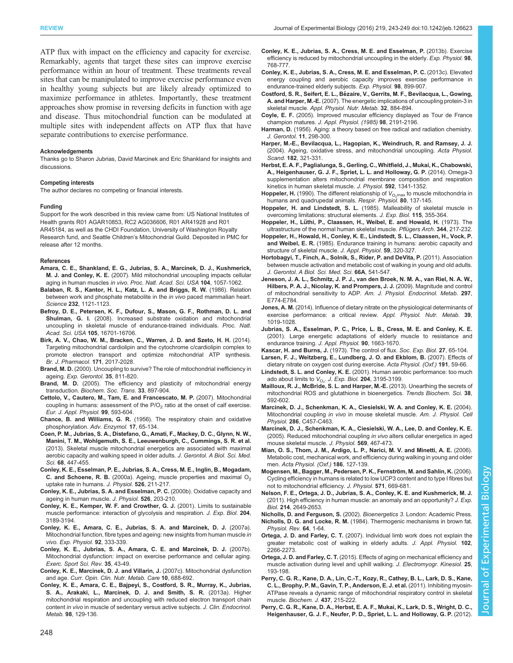<span id="page-5-0"></span>ATP flux with impact on the efficiency and capacity for exercise. Remarkably, agents that target these sites can improve exercise performance within an hour of treatment. These treatments reveal sites that can be manipulated to improve exercise performance even in healthy young subjects but are likely already optimized to maximize performance in athletes. Importantly, these treatment approaches show promise in reversing deficits in function with age and disease. Thus mitochondrial function can be modulated at multiple sites with independent affects on ATP flux that have separate contributions to exercise performance.

#### Acknowledgements

Thanks go to Sharon Jubrias, David Marcinek and Eric Shankland for insights and discussions.

#### Competing interests

The author declares no competing or financial interests.

#### Funding

Support for the work described in this review came from: US National Institutes of Health grants R01 AGAR10853, RC2 AG036606, R01 AR41928 and R01 AR45184, as well as the CHDI Foundation, University of Washington Royalty Research fund, and Seattle Children's Mitochondrial Guild. Deposited in PMC for release after 12 months.

#### References

- [Amara, C. E., Shankland, E. G., Jubrias, S. A., Marcinek, D. J., Kushmerick,](http://dx.doi.org/10.1073/pnas.0610131104) M. J. and Conley, K. E. [\(2007\). Mild mitochondrial uncoupling impacts cellular](http://dx.doi.org/10.1073/pnas.0610131104) aging in human muscles in vivo. [Proc. Natl. Acad. Sci. USA](http://dx.doi.org/10.1073/pnas.0610131104) 104, 1057-1062.
- [Balaban, R. S., Kantor, H. L., Katz, L. A. and Briggs, R. W.](http://dx.doi.org/10.1126/science.3704638) (1986). Relation [between work and phosphate metabolite in the](http://dx.doi.org/10.1126/science.3704638) in vivo paced mammalian heart. Science 232[, 1121-1123.](http://dx.doi.org/10.1126/science.3704638)
- [Befroy, D. E., Petersen, K. F., Dufour, S., Mason, G. F., Rothman, D. L. and](http://dx.doi.org/10.1073/pnas.0808889105) Shulman, G. I. [\(2008\). Increased substrate oxidation and mitochondrial](http://dx.doi.org/10.1073/pnas.0808889105) [uncoupling in skeletal muscle of endurance-trained individuals.](http://dx.doi.org/10.1073/pnas.0808889105) Proc. Natl. [Acad. Sci. USA](http://dx.doi.org/10.1073/pnas.0808889105) 105, 16701-16706.
- [Birk, A. V., Chao, W. M., Bracken, C., Warren, J. D. and Szeto, H. H.](http://dx.doi.org/10.1111/bph.12468) (2014). [Targeting mitochondrial cardiolipin and the cytochrome c/cardiolipin complex to](http://dx.doi.org/10.1111/bph.12468) [promote electron transport and optimize mitochondrial ATP synthesis.](http://dx.doi.org/10.1111/bph.12468) [Br. J. Pharmacol.](http://dx.doi.org/10.1111/bph.12468) 171, 2017-2028.
- Brand, M. D. [\(2000\). Uncoupling to survive? The role of mitochondrial inefficiency in](http://dx.doi.org/10.1016/S0531-5565(00)00135-2) ageing. [Exp. Gerontol.](http://dx.doi.org/10.1016/S0531-5565(00)00135-2) 35, 811-820.
- Brand, M. D. [\(2005\). The efficiency and plasticity of mitochondrial energy](http://dx.doi.org/10.1042/BST20050897) transduction. [Biochem. Soc. Trans.](http://dx.doi.org/10.1042/BST20050897) 33, 897-904.
- [Cettolo, V., Cautero, M., Tam, E. and Francescato, M. P.](http://dx.doi.org/10.1007/s00421-006-0382-7) (2007). Mitochondrial coupling in humans: assessment of the  $P/O<sub>2</sub>$  [ratio at the onset of calf exercise.](http://dx.doi.org/10.1007/s00421-006-0382-7) [Eur. J. Appl. Physiol.](http://dx.doi.org/10.1007/s00421-006-0382-7) 99, 593-604.
- Chance, B. and Williams, G. R. [\(1956\). The respiratory chain and oxidative](http://dx.doi.org/10.1002/9780470122624.ch2) [phosphorylation.](http://dx.doi.org/10.1002/9780470122624.ch2) Adv. Enzymol. 17, 65-134.
- [Coen, P. M., Jubrias, S. A., Distefano, G., Amati, F., Mackey, D. C., Glynn, N. W.,](http://dx.doi.org/10.1093/gerona/gls196) [Manini, T. M., Wohlgemuth, S. E., Leeuwenburgh, C., Cummings, S. R. et al.](http://dx.doi.org/10.1093/gerona/gls196) [\(2013\). Skeletal muscle mitochondrial energetics are associated with maximal](http://dx.doi.org/10.1093/gerona/gls196) [aerobic capacity and walking speed in older adults.](http://dx.doi.org/10.1093/gerona/gls196) J. Gerontol. A Biol. Sci. Med. Sci. 68[, 447-455.](http://dx.doi.org/10.1093/gerona/gls196)
- [Conley, K. E., Esselman, P. E., Jubrias, S. A., Cress, M. E., Inglin, B., Mogadam,](http://dx.doi.org/10.1111/j.1469-7793.2000.00211.x) C. and Schoene, R. B. (2000a). Ageing, muscle properties and maximal  $O<sub>2</sub>$ [uptake rate in humans.](http://dx.doi.org/10.1111/j.1469-7793.2000.00211.x) J. Physiol. 526, 211-217.
- [Conley, K. E., Jubrias, S. A. and Esselman, P. C.](http://dx.doi.org/10.1111/j.1469-7793.2000.t01-1-00203.x) (2000b). Oxidative capacity and [ageing in human muscle.](http://dx.doi.org/10.1111/j.1469-7793.2000.t01-1-00203.x) J. Physiol. 526, 203-210.
- Conley, K. E., Kemper, W. F. and Crowther, G. J. (2001). Limits to sustainable muscle performance: interaction of glycolysis and respiration. J. Exp. Biol. 204, 3189-3194.
- [Conley, K. E., Amara, C. E., Jubrias, S. A. and Marcinek, D. J.](http://dx.doi.org/10.1113/expphysiol.2006.034330) (2007a). [Mitochondrial function, fibre types and ageing: new insights from human muscle](http://dx.doi.org/10.1113/expphysiol.2006.034330) in vivo. [Exp. Physiol.](http://dx.doi.org/10.1113/expphysiol.2006.034330) 92, 333-339.
- [Conley, K. E., Jubrias, S. A., Amara, C. E. and Marcinek, D. J.](http://dx.doi.org/10.1249/JES.0b013e31803e88e9) (2007b). [Mitochondrial dysfunction: impact on exercise performance and cellular aging.](http://dx.doi.org/10.1249/JES.0b013e31803e88e9) [Exerc. Sport Sci. Rev.](http://dx.doi.org/10.1249/JES.0b013e31803e88e9) 35, 43-49.
- [Conley, K. E., Marcinek, D. J. and Villarin, J.](http://dx.doi.org/10.1097/MCO.0b013e3282f0dbfb) (2007c). Mitochondrial dysfunction and age. [Curr. Opin. Clin. Nutr. Metab. Care](http://dx.doi.org/10.1097/MCO.0b013e3282f0dbfb) 10, 688-692.
- [Conley, K. E., Amara, C. E., Bajpeyi, S., Costford, S. R., Murray, K., Jubrias,](http://dx.doi.org/10.1210/jc.2012-2967) [S. A., Arakaki, L., Marcinek, D. J. and Smith, S. R.](http://dx.doi.org/10.1210/jc.2012-2967) (2013a). Higher [mitochondrial respiration and uncoupling with reduced electron transport chain](http://dx.doi.org/10.1210/jc.2012-2967) content in vivo [in muscle of sedentary versus active subjects.](http://dx.doi.org/10.1210/jc.2012-2967) J. Clin. Endocrinol. Metab. 98[, 129-136.](http://dx.doi.org/10.1210/jc.2012-2967)
- [Conley, K. E., Jubrias, S. A., Cress, M. E. and Esselman, P.](http://dx.doi.org/10.1113/expphysiol.2012.067314) (2013b). Exercise [efficiency is reduced by mitochondrial uncoupling in the elderly.](http://dx.doi.org/10.1113/expphysiol.2012.067314) Exp. Physiol. 98, [768-777.](http://dx.doi.org/10.1113/expphysiol.2012.067314)
- [Conley, K. E., Jubrias, S. A., Cress, M. E. and Esselman, P. C.](http://dx.doi.org/10.1113/expphysiol.2012.069633) (2013c). Elevated [energy coupling and aerobic capacity improves exercise performance in](http://dx.doi.org/10.1113/expphysiol.2012.069633) [endurance-trained elderly subjects.](http://dx.doi.org/10.1113/expphysiol.2012.069633) Exp. Physiol. 98, 899-907.
- Costford, S. R., Seifert, E. L., Bé[zaire, V., Gerrits, M. F., Bevilacqua, L., Gowing,](http://dx.doi.org/10.1139/H07-063) A. and Harper, M.-E. [\(2007\). The energetic implications of uncoupling protein-3 in](http://dx.doi.org/10.1139/H07-063) skeletal muscle. [Appl. Physiol. Nutr. Metab.](http://dx.doi.org/10.1139/H07-063) 32, 884-894.
- Coyle, E. F. [\(2005\). Improved muscular efficiency displayed as Tour de France](http://dx.doi.org/10.1152/japplphysiol.00216.2005) champion matures. [J. Appl. Physiol. \(1985\)](http://dx.doi.org/10.1152/japplphysiol.00216.2005) 98, 2191-2196.
- Harman, D. [\(1956\). Aging: a theory based on free radical and radiation chemistry.](http://dx.doi.org/10.1093/geronj/11.3.298) [J. Gerontol.](http://dx.doi.org/10.1093/geronj/11.3.298) 11, 298-300.
- [Harper, M.-E., Bevilacqua, L., Hagopian, K., Weindruch, R. and Ramsey, J. J.](http://dx.doi.org/10.1111/j.1365-201X.2004.01370.x) [\(2004\). Ageing, oxidative stress, and mitochondrial uncoupling.](http://dx.doi.org/10.1111/j.1365-201X.2004.01370.x) Acta Physiol. Scand. 182[, 321-331.](http://dx.doi.org/10.1111/j.1365-201X.2004.01370.x)
- [Herbst, E. A. F., Paglialunga, S., Gerling, C., Whitfield, J., Mukai, K., Chabowski,](http://dx.doi.org/10.1113/jphysiol.2013.267336) [A., Heigenhauser, G. J. F., Spriet, L. L. and Holloway, G. P.](http://dx.doi.org/10.1113/jphysiol.2013.267336) (2014). Omega-3 [supplementation alters mitochondrial membrane composition and respiration](http://dx.doi.org/10.1113/jphysiol.2013.267336) [kinetics in human skeletal muscle.](http://dx.doi.org/10.1113/jphysiol.2013.267336) J. Physiol. 592, 1341-1352.
- Hoppeler, H. [\(1990\). The different relationship of](http://dx.doi.org/10.1016/0034-5687(90)90077-C)  $V_{\text{O}_2\text{max}}$  $V_{\text{O}_2\text{max}}$  $V_{\text{O}_2\text{max}}$  [to muscle mitochondria in](http://dx.doi.org/10.1016/0034-5687(90)90077-C) [humans and quadrupedal animals.](http://dx.doi.org/10.1016/0034-5687(90)90077-C) Respir. Physiol. 80, 137-145.
- Hoppeler, H. and Lindstedt, S. L. (1985). Malleability of skeletal muscle in overcoming limitations: structural elements. J. Exp. Biol. 115, 355-364.
- Hoppeler, H., Lü[thi, P., Claassen, H., Weibel, E. and Howald, H.](http://dx.doi.org/10.1007/bf00588462) (1973). The [ultrastructure of the normal human skeletal muscle.](http://dx.doi.org/10.1007/bf00588462) Pflügers Arch. 344, 217-232.
- Hoppeler, H., Howald, H., Conley, K. E., Lindstedt, S. L., Claassen, H., Vock, P. and Weibel, E. R. (1985). Endurance training in humans: aerobic capacity and structure of skeletal muscle. J. Appl. Physiol. 59, 320-327.
- [Hortobagyi, T., Finch, A., Solnik, S., Rider, P. and DeVita, P.](http://dx.doi.org/10.1093/gerona/glr008) (2011). Association [between muscle activation and metabolic cost of walking in young and old adults.](http://dx.doi.org/10.1093/gerona/glr008) [J. Gerontol. A Biol. Sci. Med. Sci.](http://dx.doi.org/10.1093/gerona/glr008) 66A, 541-547.
- [Jeneson, J. A. L., Schmitz, J. P. J., van den Broek, N. M. A., van Riel, N. A. W.,](http://dx.doi.org/10.1152/ajpendo.00370.2009) [Hilbers, P. A. J., Nicolay, K. and Prompers, J. J.](http://dx.doi.org/10.1152/ajpendo.00370.2009) (2009). Magnitude and control [of mitochondrial sensitivity to ADP.](http://dx.doi.org/10.1152/ajpendo.00370.2009) Am. J. Physiol. Endocrinol. Metab. 297, [E774-E784.](http://dx.doi.org/10.1152/ajpendo.00370.2009)
- Jones, A. M. [\(2014\). Influence of dietary nitrate on the physiological determinants of](http://dx.doi.org/10.1139/apnm-2014-0036) [exercise performance: a critical review.](http://dx.doi.org/10.1139/apnm-2014-0036) Appl. Physiol. Nutr. Metab. 39, [1019-1028.](http://dx.doi.org/10.1139/apnm-2014-0036)
- Jubrias, S. A., Esselman, P. C., Price, L. B., Cress, M. E. and Conley, K. E. (2001). Large energetic adaptations of elderly muscle to resistance and endurance training. J. Appl. Physiol. 90, 1663-1670.
- Kascar, H. and Burns, J. (1973). The control of flux. Soc. Exp. Biol. 27, 65-104. [Larsen, F. J., Weitzberg, E., Lundberg, J. O. and Ekblom, B.](http://dx.doi.org/10.1111/j.1748-1716.2007.01713.x) (2007). Effects of
- [dietary nitrate on oxygen cost during exercise.](http://dx.doi.org/10.1111/j.1748-1716.2007.01713.x) Acta Physiol. (Oxf.) 191, 59-66. Lindstedt, S. L. and Conley, K. E. (2001). Human aerobic performance: too much
- ado about limits to  $V_{\text{O}_2}$ . J. Exp. Biol. 204, 3195-3199.
- [Mailloux, R. J., McBride, S. L. and Harper, M.-E.](http://dx.doi.org/10.1016/j.tibs.2013.09.001) (2013). Unearthing the secrets of [mitochondrial ROS and glutathione in bioenergetics.](http://dx.doi.org/10.1016/j.tibs.2013.09.001) Trends Biochem. Sci. 38, [592-602.](http://dx.doi.org/10.1016/j.tibs.2013.09.001)
- [Marcinek, D. J., Schenkman, K. A., Ciesielski, W. A. and Conley, K. E.](http://dx.doi.org/10.1152/ajpcell.00237.2003) (2004). Mitochondrial coupling in vivo [in mouse skeletal muscle.](http://dx.doi.org/10.1152/ajpcell.00237.2003) Am. J. Physiol. Cell Physiol. 286[, C457-C463.](http://dx.doi.org/10.1152/ajpcell.00237.2003)
- [Marcinek, D. J., Schenkman, K. A., Ciesielski, W. A., Lee, D. and Conley, K. E.](http://dx.doi.org/10.1113/jphysiol.2005.097782) [\(2005\). Reduced mitochondrial coupling](http://dx.doi.org/10.1113/jphysiol.2005.097782) in vivo alters cellular energetics in aged [mouse skeletal muscle.](http://dx.doi.org/10.1113/jphysiol.2005.097782) J. Physiol. 569, 467-473.
- [Mian, O. S., Thom, J. M., Ardigo, L. P., Narici, M. V. and Minetti, A. E.](http://dx.doi.org/10.1111/j.1748-1716.2006.01522.x) (2006). [Metabolic cost, mechanical work, and efficiency during walking in young and older](http://dx.doi.org/10.1111/j.1748-1716.2006.01522.x) men. [Acta Physiol. \(Oxf.\)](http://dx.doi.org/10.1111/j.1748-1716.2006.01522.x) 186, 127-139.
- Mogensen, M., Bagger, M., Pedersen, P. K., Fernström, M. and Sahlin, K. (2006). [Cycling efficiency in humans is related to low UCP3 content and to type I fibres but](http://dx.doi.org/10.1113/jphysiol.2005.101691) [not to mitochondrial efficiency.](http://dx.doi.org/10.1113/jphysiol.2005.101691) J. Physiol. 571, 669-681.
- [Nelson, F. E., Ortega, J. D., Jubrias, S. A., Conley, K. E. and Kushmerick, M. J.](http://dx.doi.org/10.1242/jeb.052985) [\(2011\). High efficiency in human muscle: an anomaly and an opportunity?](http://dx.doi.org/10.1242/jeb.052985)  $J. Exp.$ Biol. 214[, 2649-2653.](http://dx.doi.org/10.1242/jeb.052985)
- Nicholls, D. and Ferguson, S. (2002). Bioenergetics 3. London: Academic Press.
- Nicholls, D. G. and Locke, R. M. (1984). Thermogenic mechanisms in brown fat. Physiol. Rev. 64, 1-64.
- Ortega, J. D. and Farley, C. T. [\(2007\). Individual limb work does not explain the](http://dx.doi.org/10.1152/japplphysiol.00583.2006) [greater metabolic cost of walking in elderly adults.](http://dx.doi.org/10.1152/japplphysiol.00583.2006) J. Appl. Physiol. 102, [2266-2273.](http://dx.doi.org/10.1152/japplphysiol.00583.2006)
- Ortega, J. D. and Farley, C. T. [\(2015\). Effects of aging on mechanical efficiency and](http://dx.doi.org/10.1016/j.jelekin.2014.09.003) [muscle activation during level and uphill walking.](http://dx.doi.org/10.1016/j.jelekin.2014.09.003) J. Electromyogr. Kinesiol. 25, [193-198.](http://dx.doi.org/10.1016/j.jelekin.2014.09.003)
- [Perry, C. G. R., Kane, D. A., Lin, C.-T., Kozy, R., Cathey, B. L., Lark, D. S., Kane,](http://dx.doi.org/10.1042/BJ20110366) [C. L., Brophy, P. M., Gavin, T. P., Anderson, E. J. et al.](http://dx.doi.org/10.1042/BJ20110366) (2011). Inhibiting myosin-[ATPase reveals a dynamic range of mitochondrial respiratory control in skeletal](http://dx.doi.org/10.1042/BJ20110366) muscle. [Biochem. J.](http://dx.doi.org/10.1042/BJ20110366) 437, 215-222.
- [Perry, C. G. R., Kane, D. A., Herbst, E. A. F., Mukai, K., Lark, D. S., Wright, D. C.,](http://dx.doi.org/10.1113/jphysiol.2012.234682) [Heigenhauser, G. J. F., Neufer, P. D., Spriet, L. L. and Holloway, G. P.](http://dx.doi.org/10.1113/jphysiol.2012.234682) (2012).